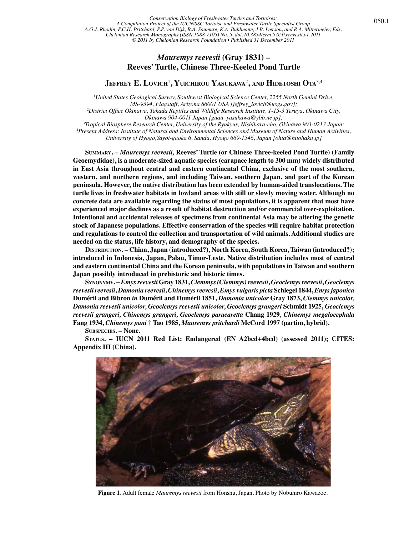## *Mauremys reevesii* **(Gray 1831) – Reeves' Turtle, Chinese Three-Keeled Pond Turtle**

**Jeffrey E. Lovich**<sup>1</sup> **, Yuichirou Yasukawa**<sup>2</sup> **, and Hidetoshi Ota**3,4

1 *United States Geological Survey, Southwest Biological Science Center, 2255 North Gemini Drive, MS-9394, Flagstaff, Arizona 86001 USA [jeffrey\_lovich@usgs.gov];* 2 *District Office Okinawa, Takada Reptiles and Wildlife Research Institute, 1-15-3 Teruya, Okinawa City, Okinawa 904-0011 Japan [guau\_yasukawa@ybb.ne.jp];* 3 *Tropical Biosphere Research Center, University of the Ryukyus, Nishihara-cho, Okinawa 903-0213 Japan;*

4 *Present Address: Institute of Natural and Environmental Sciences and Museum of Nature and Human Activities, University of Hyogo,Yayoi-gaoka 6, Sanda, Hyogo 669-1546, Japan [ohta@hitohaku.jp]*

 **Summary. –** *Mauremys reevesii,* **Reeves' Turtle (or Chinese Three-keeled Pond Turtle) (Family Geoemydidae), is a moderate-sized aquatic species (carapace length to 300 mm) widely distributed in East Asia throughout central and eastern continental China, exclusive of the most southern, western, and northern regions, and including Taiwan, southern Japan, and part of the Korean peninsula. However, the native distribution has been extended by human-aided translocations. The turtle lives in freshwater habitats in lowland areas with still or slowly moving water. Although no concrete data are available regarding the status of most populations, it is apparent that most have experienced major declines as a result of habitat destruction and/or commercial over-exploitation. Intentional and accidental releases of specimens from continental Asia may be altering the genetic stock of Japanese populations. Effective conservation of the species will require habitat protection and regulations to control the collection and transportation of wild animals. Additional studies are needed on the status, life history, and demography of the species.**

**Distribution. – China, Japan (introduced?), North Korea, South Korea, Taiwan (introduced?); introduced in Indonesia, Japan, Palau, Timor-Leste. Native distribution includes most of central and eastern continental China and the Korean peninsula, with populations in Taiwan and southern Japan possibly introduced in prehistoric and historic times.**

 **Synonymy. –** *Emys reevesii* **Gray 1831,** *Clemmys (Clemmys) reevesii***,** *Geoclemys reevesii***,** *Geoclemys reevesii reevesii***,** *Damonia reevesii***,** *Chinemys reevesii***,** *Emys vulgaris picta* **Schlegel 1844,** *Emys japonica* **Duméril and Bibron** *in* **Duméril and Duméril 1851,** *Damonia unicolor* **Gray 1873,** *Clemmys unicolor, Damonia reevesii unicolor, Geoclemys reevesii unicolor, Geoclemys grangeri* **Schmidt 1925,** *Geoclemys reevesii grangeri, Chinemys grangeri, Geoclemys paracaretta* **Chang 1929***, Chinemys megalocephala*  **Fang 1934,** *Chinemys pani* **† Tao 1985,** *Mauremys pritchardi* **McCord 1997 (partim, hybrid).**

 **Subspecies. – None.**

 **Status. – IUCN 2011 Red List: Endangered (EN A2bcd+4bcd) (assessed 2011); CITES: Appendix III (China).**



**Figure 1.** Adult female *Mauremys reevesii* from Honshu, Japan. Photo by Nobuhiro Kawazoe.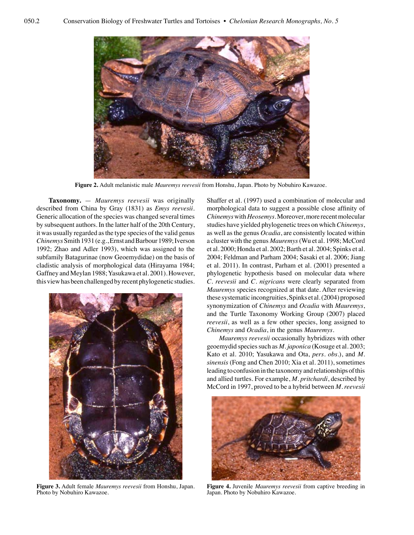

**Figure 2.** Adult melanistic male *Mauremys reevesii* from Honshu, Japan. Photo by Nobuhiro Kawazoe.

**Taxonomy.** — *Mauremys reevesii* was originally described from China by Gray (1831) as *Emys reevesii*. Generic allocation of the species was changed several times by subsequent authors. In the latter half of the 20th Century, it was usually regarded as the type species of the valid genus *Chinemys* Smith 1931 (e.g., Ernst and Barbour 1989; Iverson 1992; Zhao and Adler 1993), which was assigned to the subfamily Batagurinae (now Geoemydidae) on the basis of cladistic analysis of morphological data (Hirayama 1984; Gaffney and Meylan 1988; Yasukawa et al. 2001). However, this view has been challenged by recent phylogenetic studies.



**Figure 3.** Adult female *Mauremys reevesii* from Honshu, Japan. Photo by Nobuhiro Kawazoe.

Shaffer et al. (1997) used a combination of molecular and morphological data to suggest a possible close affinity of *Chinemys* with *Heosemys*. Moreover, more recent molecular studies have yielded phylogenetic trees on which *Chinemys*, as well as the genus *Ocadia*, are consistently located within a cluster with the genus *Mauremys* (Wu et al. 1998; McCord et al. 2000; Honda et al. 2002; Barth et al. 2004; Spinks et al. 2004; Feldman and Parham 2004; Sasaki et al. 2006; Jiang et al. 2011). In contrast, Parham et al. (2001) presented a phylogenetic hypothesis based on molecular data where *C. reevesii* and *C. nigricans* were clearly separated from *Mauremys* species recognized at that date. After reviewing these systematic incongruities, Spinks et al. (2004) proposed synonymization of *Chinemys* and *Ocadia* with *Mauremys*, and the Turtle Taxonomy Working Group (2007) placed *reevesii*, as well as a few other species, long assigned to *Chinemys* and *Ocadia*, in the genus *Mauremys*.

*Mauremys reevesii* occasionally hybridizes with other geoemydid species such as *M. japonica* (Kosuge et al. 2003; Kato et al. 2010; Yasukawa and Ota, *pers. obs.*), and *M. sinensis* (Fong and Chen 2010; Xia et al. 2011), sometimes leading to confusion in the taxonomy and relationships of this and allied turtles. For example, *M. pritchardi*, described by McCord in 1997, proved to be a hybrid between *M. reevesii* 



**Figure 4.** Juvenile *Mauremys reevesii* from captive breeding in Japan. Photo by Nobuhiro Kawazoe.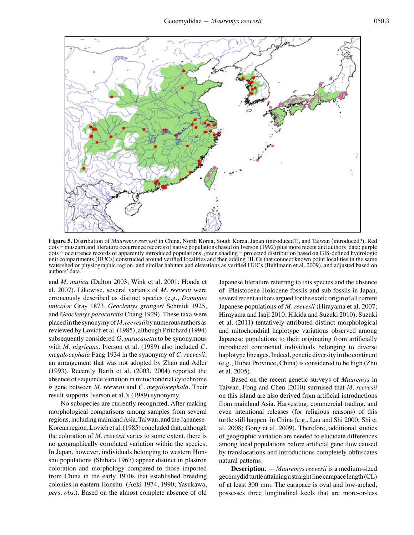

**Figure 5.** Distribution of *Mauremys reevesii* in China, North Korea, South Korea, Japan (introduced?), and Taiwan (introduced?)*.* Red dots = museum and literature occurrence records of native populations based on Iverson (1992) plus more recent and authors' data; purple dots = occurrence records of apparently introduced populations; green shading = projected distribution based on GIS-defined hydrologic unit compartments (HUCs) constructed around verified localities and then adding HUCs that connect known point localities in the same watershed or physiographic region, and similar habitats and elevations as verified HUCs (Buhlmann et al. 2009), and adjusted based on authors' data.

and *M. mutica* (Dalton 2003; Wink et al. 2001; Honda et al. 2007). Likewise, several variants of *M. reevesii* were erroneously described as distinct species (e.g., *Damonia unicolor* Gray 1873, *Geoclemys grangeri* Schmidt 1925, and *Geoclemys paracaretta* Chang 1929). These taxa were placed in the synonymy of *M. reevesii* by numerous authors as reviewed by Lovich et al. (1985), although Pritchard (1994) subsequently considered *G. paracaretta* to be synonymous with *M. nigricans*. Iverson et al. (1989) also included *C. megalocephala* Fang 1934 in the synonymy of *C. reevesii*; an arrangement that was not adopted by Zhao and Adler (1993). Recently Barth et al. (2003, 2004) reported the absence of sequence variation in mitochondrial cytochrome *b* gene between *M. reevesii* and *C. megalocephala*. Their result supports Iverson et al.'s (1989) synonymy.

No subspecies are currently recognized. After making morphological comparisons among samples from several regions, including mainland Asia, Taiwan, and the Japanese-Korean region, Lovich et al. (1985) concluded that, although the coloration of *M. reevesii* varies to some extent, there is no geographically correlated variation within the species. In Japan, however, individuals belonging to western Honshu populations (Shibata 1967) appear distinct in plastron coloration and morphology compared to those imported from China in the early 1970s that established breeding colonies in eastern Honshu (Aoki 1974, 1990; Yasukawa, *pers. obs.*). Based on the almost complete absence of old

Japanese literature referring to this species and the absence of Pleistocene-Holocene fossils and sub-fossils in Japan, several recent authors argued for the exotic origin of all current Japanese populations of *M. reevesii* (Hirayama et al. 2007; Hirayama and Isaji 2010; Hikida and Suzuki 2010). Suzuki et al. (2011) tentatively attributed distinct morphological and mitochondrial haplotype variations observed among Japanese populations to their originating from artificially introduced continental individuals belonging to diverse haplotype lineages. Indeed, genetic diversity in the continent (e.g., Hubei Province, China) is considered to be high (Zhu et al. 2005).

Based on the recent genetic surveys of *Mauremys* in Taiwan, Fong and Chen (2010) surmised that *M. reevesii*  on this island are also derived from artificial introductions from mainland Asia. Harvesting, commercial trading, and even intentional releases (for religious reasons) of this turtle still happen in China (e.g., Lau and Shi 2000; Shi et al. 2008; Gong et al. 2009). Therefore, additional studies of geographic variation are needed to elucidate differences among local populations before artificial gene flow caused by translocations and introductions completely obfuscates natural patterns.

**Description.** — *Mauremys reevesii* is a medium-sized geoemydid turtle attaining a straight line carapace length (CL) of at least 300 mm. The carapace is oval and low-arched, possesses three longitudinal keels that are more-or-less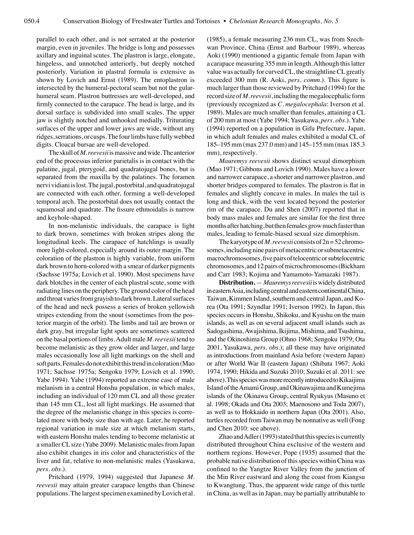parallel to each other, and is not serrated at the posterior margin, even in juveniles. The bridge is long and possesses axillary and inguinal scutes. The plastron is large, elongate, hingeless, and unnotched anteriorly, but deeply notched posteriorly. Variation in plastral formula is extensive as shown by Lovich and Ernst (1989). The entoplastron is intersected by the humeral-pectoral seam but not the gularhumeral seam. Plastron buttresses are well-developed, and firmly connected to the carapace. The head is large, and its dorsal surface is subdivided into small scales. The upper jaw is slightly notched and unhooked medially. Triturating surfaces of the upper and lower jaws are wide, without any ridges, serrations, or cusps. The four limbs have fully webbed digits. Cloacal bursae are well-developed.

The skull of *M. reevesii* is massive and wide. The anterior end of the processus inferior parietalis is in contact with the palatine, jugal, pterygoid, and quadratojugal bones, but is separated from the maxilla by the palatines. The foramen nervi vidiani is lost. The jugal, postorbital, and quadratojugal are connected with each other, forming a well-developed temporal arch. The postorbital does not usually contact the squamosal and quadrate. The fissure ethmoidalis is narrow and keyhole-shaped.

In non-melanistic individuals, the carapace is light to dark brown, sometimes with broken stripes along the longitudinal keels. The carapace of hatchlings is usually more light-colored, especially around its outer margin. The coloration of the plastron is highly variable, from uniform dark brown to horn-colored with a smear of darker pigments (Sachsse 1975a; Lovich et al. 1990). Most specimens have dark blotches in the center of each plastral scute, some with radiating lines on the periphery. The ground color of the head and throat varies from grayish to dark brown. Lateral surfaces of the head and neck possess a series of broken yellowish stripes extending from the snout (sometimes from the posterior margin of the orbit). The limbs and tail are brown or dark gray, but irregular light spots are sometimes scattered on the basal portions of limbs. Adult male *M. reevesii* tend to become melanistic as they grow older and larger, and large males occasionally lose all light markings on the shell and soft parts. Females do not exhibit this trend in coloration (Mao 1971; Sachsse 1975a; Sengoku 1979; Lovich et al. 1990; Yabe 1994). Yabe (1994) reported an extreme case of male melanism in a central Honshu population, in which males, including an individual of 120 mm CL and all those greater than 145 mm CL, lost all light markings. He assumed that the degree of the melanistic change in this species is correlated more with body size than with age. Later, he reported regional variation in male size at which melanism starts, with eastern Honshu males tending to become melanistic at a smaller CL size (Yabe 2009). Melanistic males from Japan also exhibit changes in iris color and characteristics of the liver and fat, relative to non-melanistic males (Yasukawa, *pers. obs.*).

Pritchard (1979, 1994) suggested that Japanese *M. reevesii* may attain greater carapace lengths than Chinese populations. The largest specimen examined by Lovich et al.

(1985), a female measuring 236 mm CL, was from Szechwan Province, China (Ernst and Barbour 1989), whereas Aoki (1990) mentioned a gigantic female from Japan with a carapace measuring 355 mm in length. Although this latter value was actually for curved CL, the straightline CL greatly exceeded 300 mm (R. Aoki, *pers. comm*.). This figure is much larger than those reviewed by Pritchard (1994) for the record size of *M. reevesii*, including the megalocephalic form (previously recognized as *C. megalocephala*: Iverson et al. 1989). Males are much smaller than females, attaining a CL of 200 mm at most (Yabe 1994; Yasukawa, *pers. obs.*). Yabe (1994) reported on a population in Gifu Prefecture, Japan, in which adult females and males exhibited a modal CL of 185–195 mm (max 237.0 mm) and 145–155 mm (max 185.3 mm), respectively.

*Mauremys reevesii* shows distinct sexual dimorphism (Mao 1971; Gibbons and Lovich 1990). Males have a lower and narrower carapace, a shorter and narrower plastron, and shorter bridges compared to females. The plastron is flat in females and slightly concave in males. In males the tail is long and thick, with the vent located beyond the posterior rim of the carapace. Du and Shen (2007) reported that in body mass males and females are similar for the first three months after hatching, but then females grow much faster than males, leading to female-biased sexual size dimorphism.

The karyotype of *M. reevesii* consists of 2n = 52 chromosomes, including nine pairs of metacentric or submetacentric macrochromosomes, five pairs of telocentric or subtelocentric chromosomes, and 12 pairs of microchromosomes (Bickham and Carr 1983; Kojima and Yamamoto-Yamazaki 1987).

**Distribution.** —*Mauremys reevesii* is widely distributed in eastern Asia, including central and eastern continental China, Taiwan, Kimmen Island, southern and central Japan, and Korea (Ota 1991; Szyndlar 1991; Iverson 1992). In Japan, this species occurs in Honshu, Shikoku, and Kyushu on the main islands, as well as on several adjacent small islands such as Sadogashima, Awajishima, Ikijima, Mishima, and Tsushima, and the Okinoshima Group (Ohno 1968; Sengoku 1979; Ota 2001, Yasukawa, *pers. obs.*); all these may have originated as introductions from mainland Asia before (western Japan) or after World War II (eastern Japan) (Shibata 1967; Aoki 1974, 1990; Hikida and Suzuki 2010; Suzuki et al. 2011: see above). This species was more recently introduced to Kikaijima Island of the Amami Group, and Okinawajima and Kumejima islands of the Okinawa Group, central Ryukyus (Masuno et al. 1998; Okada and Ota 2003; Maenosono and Toda 2007), as well as to Hokkaido in northern Japan (Ota 2001). Also, turtles recorded from Taiwan may be nonnative as well (Fong and Chen 2010: see above).

Zhao and Adler (1993) stated that this species is currently distributed throughout China exclusive of the western and northern regions. However, Pope (1935) assumed that the probable native distribution of this species within China was confined to the Yangtze River Valley from the junction of the Min River eastward and along the coast from Kiangsu to Kwangtung. Thus, the apparent wide range of this turtle in China, as well as in Japan, may be partially attributable to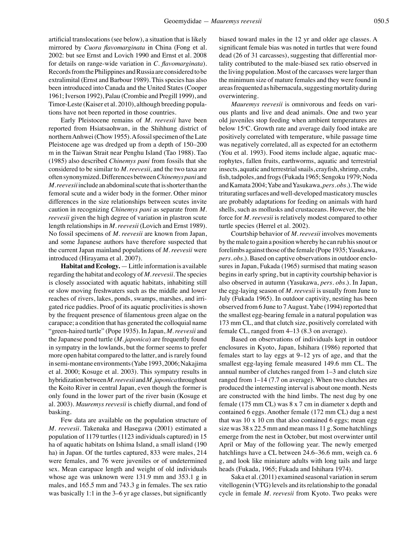artificial translocations (see below), a situation that is likely mirrored by *Cuora flavomarginata* in China (Fong et al. 2002: but see Ernst and Lovich 1990 and Ernst et al. 2008 for details on range-wide variation in *C. flavomarginata*). Records from the Philippines and Russia are considered to be extralimital (Ernst and Barbour 1989). This species has also been introduced into Canada and the United States (Cooper 1961; Iverson 1992), Palau (Crombie and Pregill 1999), and Timor-Leste (Kaiser et al. 2010), although breeding populations have not been reported in those countries.

Early Pleistocene remains of *M. reevesii* have been reported from Hsiatsaohwan, in the Shihhung district of northern Anhwei (Chow 1955). A fossil specimen of the Late Pleistocene age was dredged up from a depth of 150–200 m in the Taiwan Strait near Penghu Island (Tao 1988). Tao (1985) also described *Chinemys pani* from fossils that she considered to be similar to *M. reevesii,* and the two taxa are often synonymized. Differences between *Chinemys pani* and *M. reevesii* include an abdominal scute that is shorter than the femoral scute and a wider body in the former. Other minor differences in the size relationships between scutes invite caution in recognizing *Chinemys pani* as separate from *M. reevesii* given the high degree of variation in plastron scute length relationships in *M. reevesii* (Lovich and Ernst 1989). No fossil specimens of *M. reevesii* are known from Japan, and some Japanese authors have therefore suspected that the current Japan mainland populations of *M. reevesii* were introduced (Hirayama et al. 2007).

**Habitat and Ecology.** — Little information is available regarding the habitat and ecology of *M. reevesii*. The species is closely associated with aquatic habitats, inhabiting still or slow moving freshwaters such as the middle and lower reaches of rivers, lakes, ponds, swamps, marshes, and irrigated rice paddies. Proof of its aquatic proclivities is shown by the frequent presence of filamentous green algae on the carapace; a condition that has generated the colloquial name "green-haired turtle" (Pope 1935). In Japan, *M. reevesii* and the Japanese pond turtle (*M. japonica*) are frequently found in sympatry in the lowlands, but the former seems to prefer more open habitat compared to the latter, and is rarely found in semi-montane environments (Yabe 1993, 2006; Nakajima et al. 2000; Kosuge et al. 2003). This sympatry results in hybridization between *M. reevesii* and *M. japonica* throughout the Koito River in central Japan, even though the former is only found in the lower part of the river basin (Kosuge et al. 2003). *Mauremys reevesii* is chiefly diurnal, and fond of basking.

Few data are available on the population structure of *M. reevesii*. Takenaka and Hasegawa (2001) estimated a population of 1179 turtles (1123 individuals captured) in 15 ha of aquatic habitats on Ishima Island, a small island (190 ha) in Japan. Of the turtles captured, 833 were males, 214 were females, and 76 were juveniles or of undetermined sex. Mean carapace length and weight of old individuals whose age was unknown were 131.9 mm and 353.1 g in males, and 165.5 mm and 743.3 g in females. The sex ratio was basically 1:1 in the 3–6 yr age classes, but significantly

biased toward males in the 12 yr and older age classes. A significant female bias was noted in turtles that were found dead (26 of 31 carcasses), suggesting that differential mortality contributed to the male-biased sex ratio observed in the living population. Most of the carcasses were larger than the minimum size of mature females and they were found in areas frequented as hibernacula, suggesting mortality during overwintering.

*Mauremys reevesii* is omnivorous and feeds on various plants and live and dead animals. One and two year old juveniles stop feeding when ambient temperatures are below 15°C. Growth rate and average daily food intake are positively correlated with temperature, while passage time was negatively correlated, all as expected for an ectotherm (You et al. 1993). Food items include algae, aquatic macrophytes, fallen fruits, earthworms, aquatic and terrestrial insects, aquatic and terrestrial snails, crayfish, shrimp, crabs, fish, tadpoles, and frogs (Fukada 1965; Sengoku 1979; Noda and Kamata 2004; Yabe and Yasukawa, *pers. obs.*). The wide triturating surfaces and well-developed masticatory muscles are probably adaptations for feeding on animals with hard shells, such as mollusks and crustaceans. However, the bite force for *M. reevesii* is relatively modest compared to other turtle species (Herrel et al. 2002).

Courtship behavior of *M. reevesii* involves movements by the male to gain a position whereby he can rub his snout or forelimbs against those of the female (Pope 1935; Yasukawa, *pers. obs.*). Based on captive observations in outdoor enclosures in Japan, Fukada (1965) surmised that mating season begins in early spring, but in captivity courtship behavior is also observed in autumn (Yasukawa, *pers. obs.*). In Japan, the egg-laying season of *M. reevesii* is usually from June to July (Fukada 1965). In outdoor captivity, nesting has been observed from 6 June to 7 August. Yabe (1994) reported that the smallest egg-bearing female in a natural population was 173 mm CL, and that clutch size, positively correlated with female CL, ranged from 4–13 (8.3 on average).

Based on observations of individuals kept in outdoor enclosures in Kyoto, Japan, Ishihara (1986) reported that females start to lay eggs at 9–12 yrs of age, and that the smallest egg-laying female measured 149.6 mm CL. The annual number of clutches ranged from 1–3 and clutch size ranged from 1–14 (7.7 on average). When two clutches are produced the internesting interval is about one month. Nests are constructed with the hind limbs. The nest dug by one female (175 mm CL) was 8 x 7 cm in diameter x depth and contained 6 eggs. Another female (172 mm CL) dug a nest that was 10 x 10 cm that also contained 6 eggs; mean egg size was 38 x 22.5 mm and mean mass 11 g. Some hatchlings emerge from the nest in October, but most overwinter until April or May of the following year. The newly emerged hatchlings have a CL between 24.6–36.6 mm, weigh ca. 6 g, and look like miniature adults with long tails and large heads (Fukada, 1965; Fukada and Ishihara 1974).

Saka et al. (2011) examined seasonal variation in serum vitellogenin (VTG) levels and its relationship to the gonadal cycle in female *M. reevesii* from Kyoto. Two peaks were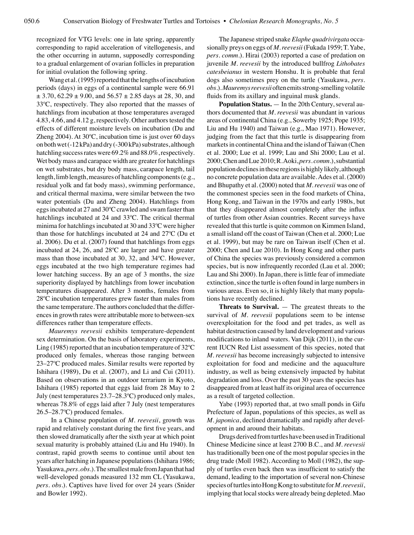recognized for VTG levels: one in late spring, apparently corresponding to rapid acceleration of vitellogenesis, and the other occurring in autumn, supposedly corresponding to a gradual enlargement of ovarian follicles in preparation for initial ovulation the following spring.

Wang et al. (1995) reported that the lengths of incubation periods (days) in eggs of a continental sample were 66.91  $\pm$  3.70, 62.29  $\pm$  9.00, and 56.57  $\pm$  2.85 days at 28, 30, and 33ºC, respectively. They also reported that the masses of hatchlings from incubation at those temperatures averaged 4.83, 4.66, and 4.12 g, respectively. Other authors tested the effects of different moisture levels on incubation (Du and Zheng 2004). At 30ºC, incubation time is just over 60 days on both wet (-12 kPa) and dry (-300 kPa) substrates, although hatchling success rates were 69.2% and 88.0%, respectively. Wet body mass and carapace width are greater for hatchlings on wet substrates, but dry body mass, carapace length, tail length, limb length, measures of hatchling components (e.g., residual yolk and fat body mass), swimming performance, and critical thermal maxima, were similar between the two water potentials (Du and Zheng 2004). Hatchlings from eggs incubated at 27 and 30ºC crawled and swam faster than hatchlings incubated at 24 and 33ºC. The critical thermal minima for hatchlings incubated at 30 and 33ºC were higher than those for hatchlings incubated at 24 and 27ºC (Du et al. 2006). Du et al. (2007) found that hatchlings from eggs incubated at 24, 26, and 28ºC are larger and have greater mass than those incubated at 30, 32, and 34ºC. However, eggs incubated at the two high temperature regimes had lower hatching success. By an age of 3 months, the size superiority displayed by hatchlings from lower incubation temperatures disappeared. After 3 months, females from 28ºC incubation temperatures grew faster than males from the same temperature. The authors concluded that the differences in growth rates were attributable more to between-sex differences rather than temperature effects.

*Mauremys reevesii* exhibits temperature-dependent sex determination. On the basis of laboratory experiments, Ling (1985) reported that an incubation temperature of 32ºC produced only females, whereas those ranging between 23–27ºC produced males. Similar results were reported by Ishihara (1989), Du et al. (2007), and Li and Cui (2011). Based on observations in an outdoor terrarium in Kyoto, Ishihara (1985) reported that eggs laid from 28 May to 2 July (nest temperatures 23.7–28.3ºC) produced only males, whereas 78.8% of eggs laid after 7 July (nest temperatures 26.5–28.7ºC) produced females.

 In a Chinese population of *M. reevesii*, growth was rapid and relatively constant during the first five years, and then slowed dramatically after the sixth year at which point sexual maturity is probably attained (Liu and Hu 1940). In contrast, rapid growth seems to continue until about ten years after hatching in Japanese populations (Ishihara 1986; Yasukawa, *pers. obs.*). The smallest male from Japan that had well-developed gonads measured 132 mm CL (Yasukawa, *pers. obs.*). Captives have lived for over 24 years (Snider and Bowler 1992).

The Japanese striped snake *Elaphe quadrivirgata* occasionally preys on eggs of *M. reevesii* (Fukada 1959; T. Yabe, *pers. comm*.). Hirai (2003) reported a case of predation on juvenile *M. reevesii* by the introduced bullfrog *Lithobates catesbeianus* in western Honshu. It is probable that feral dogs also sometimes prey on the turtle (Yasukawa, *pers. obs.*). *Mauremys reevesii* often emits strong-smelling volatile fluids from its axillary and inguinal musk glands.

**Population Status.** — In the 20th Century, several authors documented that *M. reevesii* was abundant in various areas of continental China (e.g., Sowerby 1925; Pope 1935; Liu and Hu 1940) and Taiwan (e.g., Mao 1971). However, judging from the fact that this turtle is disappearing from markets in continental China and the island of Taiwan (Chen et al. 2000; Lue et al. 1999; Lau and Shi 2000; Lau et al. 2000; Chen and Lue 2010; R. Aoki, *pers. comm*.), substantial population declines in these regions is highly likely, although no concrete population data are available. Ades et al. (2000) and Bhupathy et al. (2000) noted that *M*. *reevesii* was one of the commonest species seen in the food markets of China, Hong Kong, and Taiwan in the 1970s and early 1980s, but that they disappeared almost completely after the influx of turtles from other Asian countries. Recent surveys have revealed that this turtle is quite common on Kimmen Island, a small island off the coast of Taiwan (Chen et al. 2000; Lue et al. 1999), but may be rare on Taiwan itself (Chen et al. 2000; Chen and Lue 2010). In Hong Kong and other parts of China the species was previously considered a common species, but is now infrequently recorded (Lau et al. 2000; Lau and Shi 2000). In Japan, there is little fear of immediate extinction, since the turtle is often found in large numbers in various areas. Even so, it is highly likely that many populations have recently declined.

**Threats to Survival.** — The greatest threats to the survival of *M. reevesii* populations seem to be intense overexploitation for the food and pet trades, as well as habitat destruction caused by land development and various modifications to inland waters. Van Dijk (2011), in the current IUCN Red List assessment of this species, noted that *M. reevesii* has become increasingly subjected to intensive exploitation for food and medicine and the aquaculture industry, as well as being extensively impacted by habitat degradation and loss. Over the past 30 years the species has disappeared from at least half its original area of occurrence as a result of targeted collection.

Yabe (1993) reported that, at two small ponds in Gifu Prefecture of Japan, populations of this species, as well as *M. japonica*, declined dramatically and rapidly after development in and around their habitats.

Drugs derived from turtles have been used in Traditional Chinese Medicine since at least 2700 B.C., and *M. reevesii* has traditionally been one of the most popular species in the drug trade (Moll 1982). According to Moll (1982), the supply of turtles even back then was insufficient to satisfy the demand, leading to the importation of several non-Chinese species of turtles into Hong Kong to substitute for *M. reevesii*, implying that local stocks were already being depleted. Mao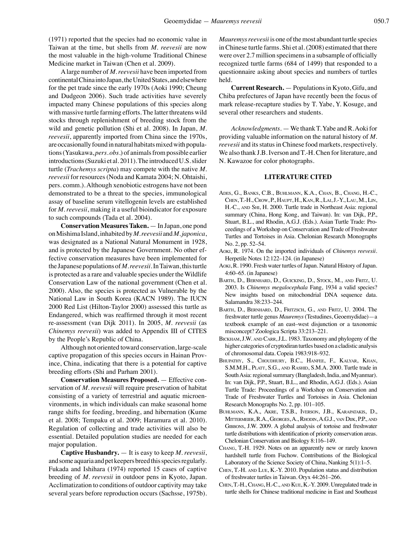(1971) reported that the species had no economic value in Taiwan at the time, but shells from *M. reevesii* are now the most valuable in the high-volume Traditional Chinese Medicine market in Taiwan (Chen et al. 2009).

A large number of *M. reevesii* have been imported from continental China into Japan, the United States, and elsewhere for the pet trade since the early 1970s (Aoki 1990; Cheung and Dudgeon 2006). Such trade activities have severely impacted many Chinese populations of this species along with massive turtle farming efforts. The latter threatens wild stocks through replenishment of breeding stock from the wild and genetic pollution (Shi et al. 2008). In Japan, *M. reevesii*, apparently imported from China since the 1970s, are occasionally found in natural habitats mixed with populations (Yasukawa, *pers. obs*.) of animals from possible earlier introductions (Suzuki et al. 2011). The introduced U.S. slider turtle (*Trachemys scripta*) may compete with the native *M. reevesii* for resources (Noda and Kamata 2004; N. Ohtaishi, pers. comm.). Although xenobiotic estrogens have not been demonstrated to be a threat to the species, immunological assay of baseline serum vitellogenin levels are established for *M. reevesii*, making it a useful bioindicator for exposure to such compounds (Tada et al. 2004).

**Conservation Measures Taken.** — In Japan, one pond on Mishima Island, inhabited by *M. reevesii* and *M. japonica*, was designated as a National Natural Monument in 1928, and is protected by the Japanese Government. No other effective conservation measures have been implemented for the Japanese populations of *M. reevesii*. In Taiwan, this turtle is protected as a rare and valuable species under the Wildlife Conservation Law of the national government (Chen et al. 2000). Also, the species is protected as Vulnerable by the National Law in South Korea (KACN 1989). The IUCN 2000 Red List (Hilton-Taylor 2000) assessed this turtle as Endangered, which was reaffirmed through it most recent re-assessment (van Dijk 2011). In 2005, *M. reevesii* (as *Chinemys reevesii*) was added to Appendix III of CITES by the People's Republic of China.

Although not oriented toward conservation, large-scale captive propagation of this species occurs in Hainan Province, China, indicating that there is a potential for captive breeding efforts (Shi and Parham 2001).

**Conservation Measures Proposed.** — Effective conservation of *M. reevesii* will require preservation of habitat consisting of a variety of terrestrial and aquatic microenvironments, in which individuals can make seasonal home range shifts for feeding, breeding, and hibernation (Kume et al. 2008; Tempaku et al. 2009; Haramura et al. 2010). Regulation of collecting and trade activities will also be essential. Detailed population studies are needed for each major population.

**Captive Husbandry.** — It is easy to keep *M. reevesii*, and some aquaria and pet keepers breed this species regularly. Fukada and Ishihara (1974) reported 15 cases of captive breeding of *M. reevesii* in outdoor pens in Kyoto, Japan. Acclimatization to conditions of outdoor captivity may take several years before reproduction occurs (Sachsse, 1975b).

*Mauremys reevesii* is one of the most abundant turtle species in Chinese turtle farms. Shi et al. (2008) estimated that there were over 2.7 million specimens in a subsample of officially recognized turtle farms (684 of 1499) that responded to a questionnaire asking about species and numbers of turtles held.

**Current Research.** — Populations in Kyoto, Gifu, and Chiba prefectures of Japan have recently been the focus of mark release-recapture studies by T. Yabe, Y. Kosuge, and several other researchers and students.

*Acknowledgments*. — We thank T. Yabe and R. Aoki for providing valuable information on the natural history of *M. reevesii* and its status in Chinese food markets, respectively. We also thank J.B. Iverson and T.-H. Chen for literature, and N. Kawazoe for color photographs.

## **LITERATURE CITED**

- Ades, G., Banks, C.B., Buhlmann, K.A., Chan, B., Chang, H.-C., Chen, T.-H., Crow, P., Haupt, H., Kan, R., Lai, J.-Y., Lau, M., Lin, H.-C., and Shi, H. 2000. Turtle trade in Northeast Asia: regional summary (China, Hong Kong, and Taiwan). In: van Dijk, P.P., Stuart, B.L., and Rhodin, A.G.J. (Eds.). Asian Turtle Trade: Proceedings of a Workshop on Conservation and Trade of Freshwater Turtles and Tortoises in Asia. Chelonian Research Monographs No. 2, pp. 52–54.
- Aoki, R. 1974. On the imported individuals of *Chinemys reevesii*. Herpetile Notes 12:122–124. (in Japanese)
- Aoki, R. 1990. Fresh water turtles of Japan. Natural History of Japan. 4:60–65. (in Japanese)
- Barth, D., Bernhard, D., Guicking, D., Stock, M., and Fritz, U. 2003. Is *Chinemys megalocephala* Fang, 1934 a valid species? New insights based on mitochondrial DNA sequence data. Salamandra 38:233–244.
- Barth, D., Bernhard, D., Fritzsch, G., and Fritz, U. 2004. The freshwater turtle genus *Mauremys* (Testudines, Geoemydidae)—a textbook example of an east–west disjunction or a taxonomic misconcept? Zoologica Scripta 33:213–221.
- Bickham, J.W. and Carr, J.L. 1983. Taxonomy and phylogeny of the higher categories of cryptodiran turtles based on a cladistic analysis of chromosomal data. Copeia 1983:918–932.
- Bhupathy, S., Choudhury, B.C., Hanfee, F., Kalyar, Khan, S.M.M.H., PLATT, S.G., AND RASHID, S.M.A. 2000. Turtle trade in South Asia: regional summary (Bangladesh, India, and Myanmar). In: van Dijk, P.P., Stuart, B.L., and Rhodin, A.G.J. (Eds.). Asian Turtle Trade: Proceedings of a Workshop on Conservation and Trade of Freshwater Turtles and Tortoises in Asia. Chelonian Research Monographs No. 2, pp. 101–105.
- Buhlmann, K.A., Akre, T.S.B., Iverson, J.B., Karapatakis, D., Mittermeier, R.A., Georges, A., Rhodin, A.G.J., van Dijk, P.P., and GIBBONS, J.W. 2009. A global analysis of tortoise and freshwater turtle distributions with identification of priority conservation areas. Chelonian Conservation and Biology 8:116–149.
- Chang, T.-H. 1929. Notes on an apparently new or rarely known hardshell turtle from Fuchow. Contributions of the Biological Laboratory of the Science Society of China, Nanking 5(1):1–5.
- Chen, T.-H. and Lue, K.-Y. 2010. Population status and distribution of freshwater turtles in Taiwan. Oryx 44:261–266.
- Chen, T.-H., Chang, H.-C., and Kue, K.-Y. 2009. Unregulated trade in turtle shells for Chinese traditional medicine in East and Southeast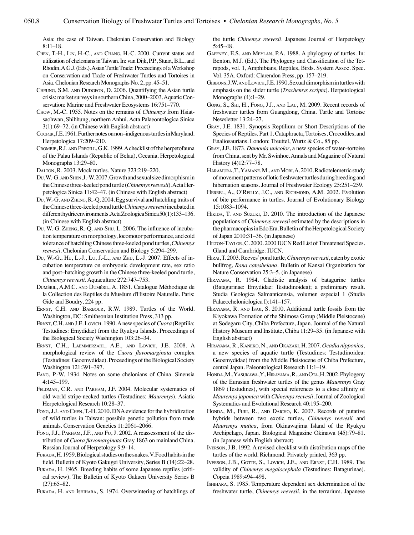Asia: the case of Taiwan. Chelonian Conservation and Biology 8:11–18.

- Chen, T.-H., Lin, H.-C., and Chang, H.-C. 2000. Current status and utilization of chelonians in Taiwan. In: van Dijk, P.P., Stuart, B.L., and Rhodin, A.G.J. (Eds.). Asian Turtle Trade: Proceedings of a Workshop on Conservation and Trade of Freshwater Turtles and Tortoises in Asia. Chelonian Research Monographs No. 2, pp. 45–51.
- CHEUNG, S.M. AND DUDGEON, D. 2006. Quantifying the Asian turtle crisis: market surveys in southern China, 2000–2003. Aquatic Conservation: Marine and Freshwater Ecosystems 16:751–770.
- Chow, M.-C. 1955. Notes on the remains of *Chinemys* from Hsiatsaohwan, Shihhung, northern Anhui. Acta Palaeontologica Sinica 3(1):69–72. (in Chinese with English abstract)
- Cooper, J.E. 1961. Further notes on non–indigenous turtles in Maryland. Herpetologica 17:209–210.
- Crombie, R.I. and Pregill, G.K. 1999. A checklist of the herpetofauna of the Palau Islands (Republic of Belau), Oceania. Herpetological Monographs 13:29–80.
- Dalton, R. 2003. Mock turtles. Nature 323:219–220.
- Du, W.-G. AND SHEN, J.-W. 2007. Growth and sexual size dimorphism in the Chinese three-keeled pond turtle (*Chinemys reevesii*). Acta Herpetologica Sinica 11:42–47. (in Chinese with English abstract)
- Du, W.-G. and Zheng, R.-Q. 2004. Egg survival and hatchling traits of the Chinese three-keeled pond turtle *Chinemys reevesii* incubated in different hydric environments. Acta Zoologica Sinica 50(1):133–136. (in Chinese with English abstract)
- Du, W.-G. Zheng, R.-Q. and Shu, L. 2006. The influence of incubation temperature on morphology, locomotor performance, and cold tolerance of hatchling Chinese three-keeled pond turtles, *Chinemys reevesii*. Chelonian Conservation and Biology 5:294–299.
- Du, W.-G., Hu, L.-J., Lu, J.-L., and Zhu, L.-J. 2007. Effects of incubation temperature on embryonic development rate, sex ratio and post–hatching growth in the Chinese three-keeled pond turtle, *Chinemys reevesii*. Aquaculture 272:747–753.
- Duméril, A.M.C. and Duméril, A. 1851. Catalogue Méthodique de la Collection des Reptiles du Muséum d'Histoire Naturelle. Paris: Gide and Boudry, 224 pp.
- ERNST, C.H. AND BARBOUR, R.W. 1989. Turtles of the World. Washington, DC: Smithsonian Institution Press, 313 pp.
- Ernst, C.H. and J.E. Lovich. 1990. A new species of *Cuora* (Reptilia: Testudines: Emydidae) from the Ryukyu Islands. Proceedings of the Biological Society Washington 103:26–34.
- Ernst, C.H., Laemmerzahl, A.E., and Lovich, J.E. 2008. A morphological review of the *Cuora flavomarginata* complex (Testudines: Geoemydidae). Proceedings of the Biological Society Washington 121:391–397.
- Fang, P.-W. 1934. Notes on some chelonians of China. Sinensia 4:145–199.
- Feldman, C.R. and Parham, J.F. 2004. Molecular systematics of old world stripe-necked turtles (Testudines: *Mauremys*). Asiatic Herpetological Research 10:28–37.
- Fong, J.J. and Chen, T.-H. 2010. DNA evidence for the hybridization of wild turtles in Taiwan: possible genetic pollution from trade animals. Conservation Genetics 11:2061–2066.
- FONG, J.J., PARHAM, J.F., AND FU, J. 2002. A reassessment of the distribution of *Cuora flavomarginata* Gray 1863 on mainland China. Russian Journal of Herpetology 9:9–14.
- Fukada, H. 1959. Biological studies on the snakes. V. Food habits in the field. Bulletin of Kyoto Gakugei University, Series B (14):22–28.
- Fukada, H. 1965. Breeding habits of some Japanese reptiles (critical review). The Bulletin of Kyoto Gakuen University Series B  $(27):65-82.$
- Fukada, H. and Ishihara, S. 1974. Overwintering of hatchlings of

the turtle *Chinemys reevesii*. Japanese Journal of Herpetology 5:45–48.

- Gaffney, E.S. and Meylan, P.A. 1988. A phylogeny of turtles. In: Benton, M.J. (Ed.). The Phylogeny and Classification of the Tetrapods, vol. 1, Amphibians, Reptiles, Birds. System Assoc. Spec. Vol. 35A. Oxford: Clarendon Press, pp. 157–219.
- Gibbons, J.W. andLovich, J.E. 1990. Sexual dimorphism in turtles with emphasis on the slider turtle (*Trachemys scripta*). Herpetological Monographs (4):1–29.
- Gong, S., Shi, H., Fong, J.J., and Lau, M. 2009. Recent records of freshwater turtles from Guangdong, China. Turtle and Tortoise Newsletter 13:24–27.
- Gray, J.E. 1831. Synopsis Reptilium or Short Descriptions of the Species of Reptiles. Part 1. Cataphracta, Tortoises, Crocodiles, and Enaliosaurians. London: Treuttel, Wurtz & Co., 85 pp.
- Gray, J.E. 1873. *Damonia unicolor*, a new species of water–tortoise from China, sent by Mr. Swinhoe. Annals and Magazine of Natural History (4)12:77–78.
- HARAMURA, T., YAMANE, M., AND MORI, A. 2010. Radiotelemetric study of movement patterns of lotic freshwater turtles during breeding and hibernation seasons. Journal of Freshwater Ecology 25:251–259.
- Herrel, A., O'Reilly, J.C., and Richmond, A.M. 2002. Evolution of bite performance in turtles. Journal of Evolutionary Biology 15:1083–1094.
- HIKIDA, T. AND SUZUKI, D. 2010. The introduction of the Japanese populations of *Chinemys reevesii* estimated by the descriptions in the pharmacopias in Edo Era. Bulletin of the Herpetological Society of Japan 2010:31–36. (in Japanese)
- HILTON-TAYLOR, C. 2000. 2000 IUCN Red List of Threatened Species. Gland and Cambridge: IUCN.
- Hirai, T. 2003. Reeves' pond turtle, *Chinemys reevesii*, eaten by exotic bullfrog, *Rana catesbeiana*. Bulletin of Kansai Organization for Nature Conservation 25:3–5. (in Japanese)
- Hirayama, R. 1984. Cladistic analysis of batagurine turtles (Batagurinae: Emydidae: Testudinoidea); a preliminary result. Studia Geologica Salmanticensia, volumen especial 1 (Studia Palaeocheloniologica I):141–157.
- HIRAYAMA, R. AND ISAJI, S. 2010. Additional turtle fossils from the Kiyokawa Formation of the Shimosa Group (Middle Pleistocene) at Sodegaru City, Chiba Prefecture, Japan. Journal of the Natural History Museum and Institute, Chiba 11:29–35. (in Japanese with English abstract)
- Hirayama, R., Kaneko, N., and Okazaki, H. 2007. *Ocadia nipponica*, a new species of aquatic turtle (Testudines: Testudinoidea: Geoemydidae) from the Middle Pleistocene of Chiba Prefecture, central Japan. Paleontological Research 11:1–19.
- Honda, M., Yasukawa, Y., Hirayama, R., andOta, H. 2002. Phylogeny of the Eurasian freshwater turtles of the genus *Mauremys* Gray 1869 (Testudines), with special references to a close affinity of *Mauremys japonica* with *Chinemys reevesii*. Journal of Zoological Systematics and Evolutional Research 40:195–200.
- HONDA, M., FUJII, R., AND DAICHO, K. 2007. Records of putative hybrids between two exotic turtles, *Chinemys reevesii* and *Mauremys mutica*, from Okinawajima Island of the Ryukyu Archipelago, Japan. Biological Magazine Okinawa (45):79–81. (in Japanese with English abstract)
- Iverson, J.B. 1992. A revised checklist with distribution maps of the turtles of the world. Richmond: Privately printed, 363 pp.
- Iverson, J.B., Gotte, S., Lovich, J.E., and Ernst, C.H. 1989. The validity of *Chinemys megalocephala* (Testudines: Batagurinae). Copeia 1989:494–498.
- Ishihara, S. 1985. Temperature dependent sex determination of the freshwater turtle, *Chinemys reevesii*, in the terrarium. Japanese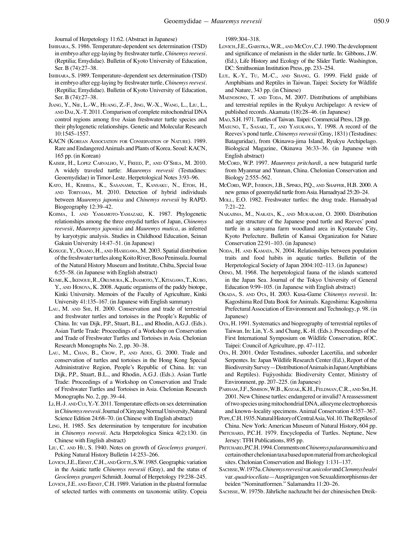Journal of Herpetology 11:62. (Abstract in Japanese)

- Ishihara, S. 1986. Temperature-dependent sex determination (TSD) in embryo after egg-laying by freshwater turtle, *Chinemys reevesi*. (Reptilia; Emydidae). Bulletin of Kyoto University of Education, Ser. B (74):27–38.
- Ishihara, S. 1989. Temperature–dependent sex determination (TSD) in embryo after egg-laying by freshwater turtle, *Chinemys reevesi*. (Reptilia; Emydidae). Bulletin of Kyoto University of Education, Ser. B (74):27–38.
- Jiang, Y., Nie, L.-W., Huang, Z.-F., Jing, W.-X., Wang, L., Liu, L., and Dai, X.-T. 2011. Comparison of complete mitochondrial DNA control regions among five Asian freshwater turtle species and their phylogenetic relationships. Genetic and Molecular Research 10:1545–1557.
- KACN (Korean Association for Conservation of Nature). 1989. Rare and Endangered Animals and Plants of Korea. Seoul: KACN, 165 pp. (in Korean)
- Kaiser, H., Lopez Carvalho, V., Freed, P., and O'Shea, M. 2010. A widely traveled turtle: *Mauremys reevesii* (Testudines: Geoemydidae) in Timor-Leste. Herpetological Notes 3:93–96.
- Kato, H., Kishida, K., Sasanami, T., Kansaku, N., Etoh, H., and Toriyama, M. 2010. Detection of hybrid individuals between *Mauremys japonica* and *Chinemys reevesii* by RAPD. Biogeography 12:39–42.
- Kojima, I. and Yamamoto-Yamazaki, K. 1987. Phylogenetic relationships among the three emydid turtles of Japan, *Chinemys reevesii*, *Mauremys japonica* and *Mauremys mutica*, as inferred by karyotypic analysis. Studies in Childhood Education, Seinan Gakuin University 14:47–51. (in Japanese)
- Kosuge, Y., Ogano, H., and Hasegawa, M. 2003. Spatial distribution of the freshwater turtles along Koito River, Boso Peninsula. Journal of the Natural History Museum and Institute, Chiba, Special Issue 6:55–58. (in Japanese with English abstract)
- Kume, K., Ikenoue, R., Okumura, K., Inamoto, Y., Kitagawa, T., Kubo, Y., and Hosoya, K. 2008. Aquatic organisms of the paddy biotope, Kinki University. Memoirs of the Faculty of Agriculture, Kinki University 41:135–167. (in Japanese with English summary)
- LAU, M. AND SHI, H. 2000. Conservation and trade of terrestrial and freshwater turtles and tortoises in the People's Republic of China. In: van Dijk, P.P., Stuart, B.L., and Rhodin, A.G.J. (Eds.). Asian Turtle Trade: Proceedings of a Workshop on Conservation and Trade of Freshwater Turtles and Tortoises in Asia. Chelonian Research Monographs No. 2, pp. 30–38.
- Lau, M., Chan, B., Crow, P., and Ades, G. 2000. Trade and conservation of turtles and tortoises in the Hong Kong Special Administrative Region, People's Republic of China. In: van Dijk, P.P., Stuart, B.L., and Rhodin, A.G.J. (Eds.). Asian Turtle Trade: Proceedings of a Workshop on Conservation and Trade of Freshwater Turtles and Tortoises in Asia. Chelonian Research Monographs No. 2, pp. 39–44.
- Li, H.-J. and Cui, Y.-Y. 2011. Temperature effects on sex determination in *Chinemys reevesii*. Journal of Xinyang Normal University, Natural Science Edition 24:68–70. (in Chinese with English abstract)
- Ling, H. 1985. Sex determination by temperature for incubation in *Chinemys reevesii*. Acta Herpetologica Sinica 4(2):130. (in Chinese with English abstract)
- Liu, C. and Hu, S. 1940. Notes on growth of *Geoclemys grangeri*. Peking Natural History Bulletin 14:253–266.
- LOVICH, J.E., ERNST, C.H., AND GOTTE, S.W. 1985. Geographic variation in the Asiatic turtle *Chinemys reevesii* (Gray), and the status of *Geoclemys grangeri* Schmidt. Journal of Herpetology 19:238–245.
- LOVICH, J.E. AND ERNST, C.H. 1989. Variation in the plastral formulae of selected turtles with comments on taxonomic utility. Copeia

1989:304–318.

- LOVICH, J.E., GARSTKA, W.R., AND McCoy, C.J. 1990. The development and significance of melanism in the slider turtle. In: Gibbons, J.W. (Ed.), Life History and Ecology of the Slider Turtle. Washington, DC: Smithsonian Institution Press, pp. 233–254.
- Lue, K.-Y., Tu, M.-C., and Shang, G. 1999. Field guide of Amphibians and Reptiles in Taiwan. Taipei: Society for Wildlife and Nature, 343 pp. (in Chinese)
- MAENOSONO, T. AND TODA, M. 2007. Distributions of amphibians and terrestrial reptiles in the Ryukyu Archipelago: A review of published records. Akamata (18):28–46. (in Japanese)
- Mao, S.H. 1971. Turtles of Taiwan. Taipei: Commercial Press, 128 pp.
- Masuno, T., Sasaki, T., and Yasukawa, Y. 1998. A record of the Reeves's pond turtle, *Chinemys reevesii* (Gray, 1831) (Testudines: Bataguridae), from Okinawa-jima Island, Ryukyu Archipelago. Biological Magazine, Okinawa 36:33–36. (in Japanese with English abstract)
- McCord, W.P. 1997. Mauremys pritchardi, a new batagurid turtle from Myanmar and Yunnan, China. Chelonian Conservation and Biology 2:555–562.
- McCord, W.P., Iverson, J.B., Spinks, P.Q., and Shaffer, H.B. 2000. A new genus of geoemydid turtle from Asia. Hamadryad 25:20–24.
- MOLL, E.O. 1982. Freshwater turtles: the drug trade. Hamadryad 7:21–22.
- Nakajima, M., Nakata, K., and Murakami, O. 2000. Distribution and age structure of the Japanese pond turtle and Reeves' pond turtle in a satoyama farm woodland area in Kyotanabe City, Kyoto Prefecture. Bulletin of Kansai Organization for Nature Conservation 22:91–103. (in Japanese)
- Noda, H. AND KAMATA, N. 2004. Relationships between population traits and food habits in aquatic turtles. Bulletin of the Herpetological Society of Japan 2004:102–113. (in Japanese)
- Ohno, M. 1968. The herpetological fauna of the islands scattered in the Japan Sea. Journal of the Tokyo University of General Education 9:99–105. (in Japanese with English abstract)
- Okada, S. and Ota, H. 2003. Kusa-Game *Chinemys reevesii*. In: Kagoshima Red Data Book for Animals. Kagoshima: Kagoshima Prefectural Association of Environment and Technology, p. 98. (in Japanese)
- Ota, H. 1991. Systematics and biogeography of terrestrial reptiles of Taiwan. In: Lin, Y.-S. and Chang, K.-H. (Eds.). Proceedings of the First International Symposium on Wildlife Conservation, ROC. Taipei: Council of Agriculture, pp. 47–112.
- Ota, H. 2001. Order Testudines, suborder Lacertilia, and suborder Serpentes. In: Japan Wildlife Research Center (Ed.), Report of the Biodiversity Survey—Distribution of Animals in Japan (Amphibians and Reptiles). Fujiyoshida: Biodiversity Center, Ministry of Environment, pp. 207–225. (in Japanese)
- Parham, J.F., Simison, W.B., Kozak, K.H., Feldman, C.R., and Shi, H. 2001. New Chinese turtles: endangered or invalid? A reassessment of two species using mitochondrial DNA, allozyme electrophoresis and known–locality specimens. Animal Conservation 4:357–367.
- POPE, C.H. 1935. Natural History of Central Asia, Vol. 10. The Reptiles of China. New York: American Museum of Natural History, 604 pp.
- PRITCHARD, P.C.H. 1979. Encyclopedia of Turtles. Neptune, New Jersey: TFH Publications, 895 pp.
- PRITCHARD, P.C.H. 1994. Comments on *Chinemys palaeannamitica* and certain other chelonian taxa based upon material from archeological sites. Chelonian Conservation and Biology 1:131–137.
- Sachsse, W. 1975a. *Chinemys reevesii* var. *unicolor* und *Clemmys bealei* var. *quadriocellata*—Ausprägungen von Sexualdimorphismus der beiden "Nominatformen." Salamandra 11:20–26.
- Sachsse, W. 1975b. Jährliche nachzucht bei der chinesischen Dreik-